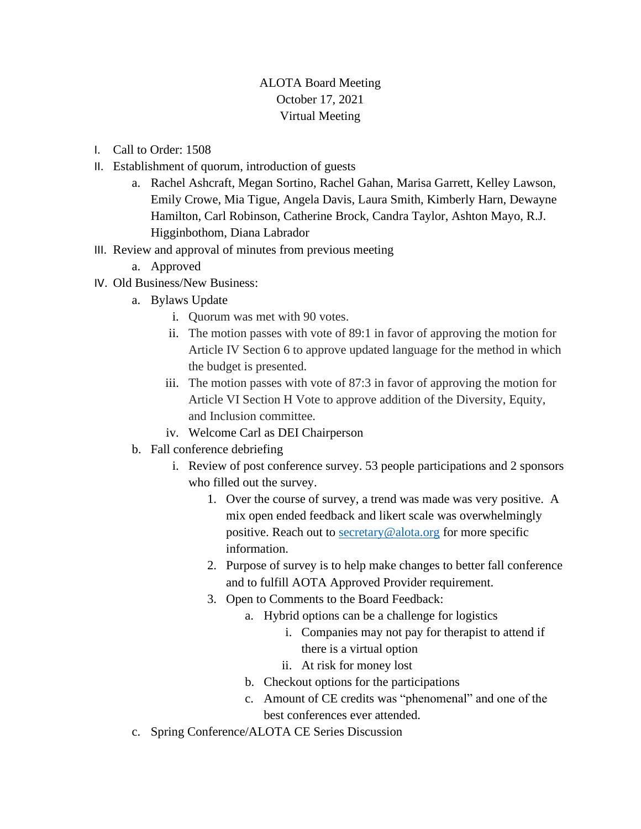## ALOTA Board Meeting October 17, 2021 Virtual Meeting

- I. Call to Order: 1508
- II. Establishment of quorum, introduction of guests
	- a. Rachel Ashcraft, Megan Sortino, Rachel Gahan, Marisa Garrett, Kelley Lawson, Emily Crowe, Mia Tigue, Angela Davis, Laura Smith, Kimberly Harn, Dewayne Hamilton, Carl Robinson, Catherine Brock, Candra Taylor, Ashton Mayo, R.J. Higginbothom, Diana Labrador
- III. Review and approval of minutes from previous meeting
	- a. Approved
- IV. Old Business/New Business:
	- a. Bylaws Update
		- i. Quorum was met with 90 votes.
		- ii. The motion passes with vote of 89:1 in favor of approving the motion for Article IV Section 6 to approve updated language for the method in which the budget is presented.
		- iii. The motion passes with vote of 87:3 in favor of approving the motion for Article VI Section H Vote to approve addition of the Diversity, Equity, and Inclusion committee.
		- iv. Welcome Carl as DEI Chairperson
	- b. Fall conference debriefing
		- i. Review of post conference survey. 53 people participations and 2 sponsors who filled out the survey.
			- 1. Over the course of survey, a trend was made was very positive. A mix open ended feedback and likert scale was overwhelmingly positive. Reach out to [secretary@alota.org](mailto:secretary@alota.org) for more specific information.
			- 2. Purpose of survey is to help make changes to better fall conference and to fulfill AOTA Approved Provider requirement.
			- 3. Open to Comments to the Board Feedback:
				- a. Hybrid options can be a challenge for logistics
					- i. Companies may not pay for therapist to attend if there is a virtual option
					- ii. At risk for money lost
				- b. Checkout options for the participations
				- c. Amount of CE credits was "phenomenal" and one of the best conferences ever attended.
	- c. Spring Conference/ALOTA CE Series Discussion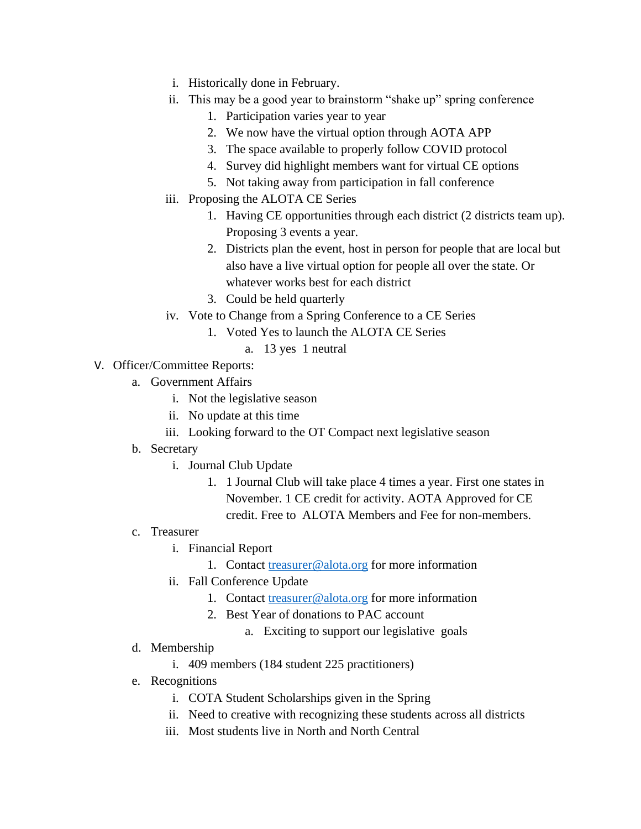- i. Historically done in February.
- ii. This may be a good year to brainstorm "shake up" spring conference
	- 1. Participation varies year to year
	- 2. We now have the virtual option through AOTA APP
	- 3. The space available to properly follow COVID protocol
	- 4. Survey did highlight members want for virtual CE options
	- 5. Not taking away from participation in fall conference
- iii. Proposing the ALOTA CE Series
	- 1. Having CE opportunities through each district (2 districts team up). Proposing 3 events a year.
	- 2. Districts plan the event, host in person for people that are local but also have a live virtual option for people all over the state. Or whatever works best for each district
	- 3. Could be held quarterly
- iv. Vote to Change from a Spring Conference to a CE Series
	- 1. Voted Yes to launch the ALOTA CE Series
		- a. 13 yes 1 neutral
- V. Officer/Committee Reports:
	- a. Government Affairs
		- i. Not the legislative season
		- ii. No update at this time
		- iii. Looking forward to the OT Compact next legislative season
	- b. Secretary
		- i. Journal Club Update
			- 1. 1 Journal Club will take place 4 times a year. First one states in November. 1 CE credit for activity. AOTA Approved for CE credit. Free to ALOTA Members and Fee for non-members.
	- c. Treasurer
		- i. Financial Report
			- 1. Contact [treasurer@alota.org](mailto:treasurer@alota.org) for more information
		- ii. Fall Conference Update
			- 1. Contact [treasurer@alota.org](mailto:treasurer@alota.org) for more information
			- 2. Best Year of donations to PAC account
				- a. Exciting to support our legislative goals
	- d. Membership
		- i. 409 members (184 student 225 practitioners)
	- e. Recognitions
		- i. COTA Student Scholarships given in the Spring
		- ii. Need to creative with recognizing these students across all districts
		- iii. Most students live in North and North Central